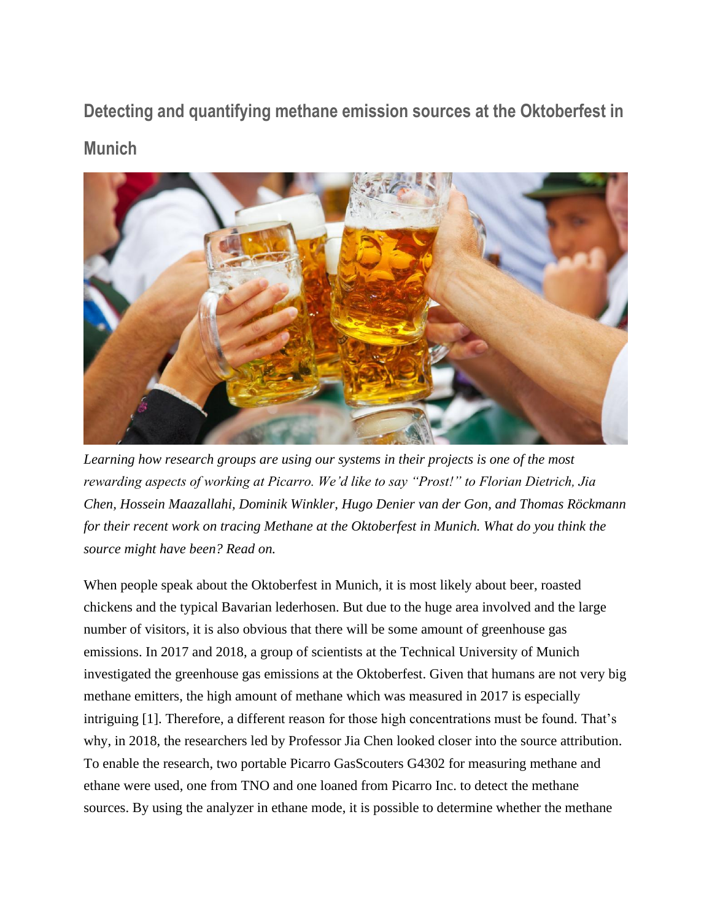**Detecting and quantifying methane emission sources at the Oktoberfest in Munich**



*Learning how research groups are using our systems in their projects is one of the most rewarding aspects of working at Picarro. We'd like to say "Prost!" to Florian Dietrich, Jia Chen, Hossein Maazallahi, Dominik Winkler, Hugo Denier van der Gon, and Thomas Röckmann for their recent work on tracing Methane at the Oktoberfest in Munich. What do you think the source might have been? Read on.*

When people speak about the Oktoberfest in Munich, it is most likely about beer, roasted chickens and the typical Bavarian lederhosen. But due to the huge area involved and the large number of visitors, it is also obvious that there will be some amount of greenhouse gas emissions. In 2017 and 2018, a group of scientists at the Technical University of Munich investigated the greenhouse gas emissions at the Oktoberfest. Given that humans are not very big methane emitters, the high amount of methane which was measured in 2017 is especially intriguing [1]. Therefore, a different reason for those high concentrations must be found. That's why, in 2018, the researchers led by Professor Jia Chen looked closer into the source attribution. To enable the research, two portable Picarro GasScouters G4302 for measuring methane and ethane were used, one from TNO and one loaned from Picarro Inc. to detect the methane sources. By using the analyzer in ethane mode, it is possible to determine whether the methane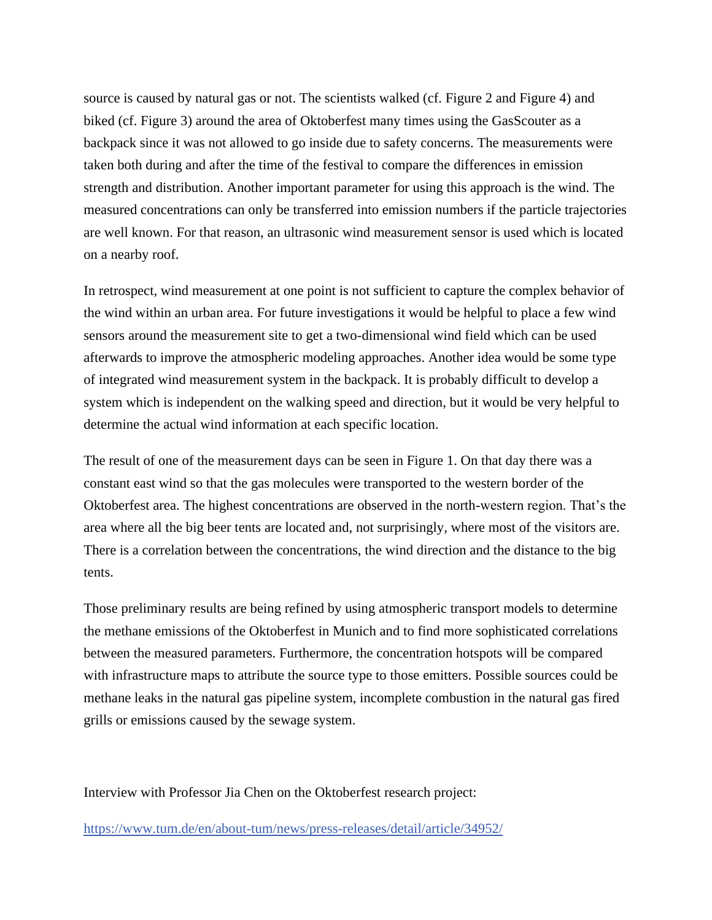source is caused by natural gas or not. The scientists walked (cf. Figure 2 and Figure 4) and biked (cf. Figure 3) around the area of Oktoberfest many times using the GasScouter as a backpack since it was not allowed to go inside due to safety concerns. The measurements were taken both during and after the time of the festival to compare the differences in emission strength and distribution. Another important parameter for using this approach is the wind. The measured concentrations can only be transferred into emission numbers if the particle trajectories are well known. For that reason, an ultrasonic wind measurement sensor is used which is located on a nearby roof.

In retrospect, wind measurement at one point is not sufficient to capture the complex behavior of the wind within an urban area. For future investigations it would be helpful to place a few wind sensors around the measurement site to get a two-dimensional wind field which can be used afterwards to improve the atmospheric modeling approaches. Another idea would be some type of integrated wind measurement system in the backpack. It is probably difficult to develop a system which is independent on the walking speed and direction, but it would be very helpful to determine the actual wind information at each specific location.

The result of one of the measurement days can be seen in Figure 1. On that day there was a constant east wind so that the gas molecules were transported to the western border of the Oktoberfest area. The highest concentrations are observed in the north-western region. That's the area where all the big beer tents are located and, not surprisingly, where most of the visitors are. There is a correlation between the concentrations, the wind direction and the distance to the big tents.

Those preliminary results are being refined by using atmospheric transport models to determine the methane emissions of the Oktoberfest in Munich and to find more sophisticated correlations between the measured parameters. Furthermore, the concentration hotspots will be compared with infrastructure maps to attribute the source type to those emitters. Possible sources could be methane leaks in the natural gas pipeline system, incomplete combustion in the natural gas fired grills or emissions caused by the sewage system.

Interview with Professor Jia Chen on the Oktoberfest research project:

<https://www.tum.de/en/about-tum/news/press-releases/detail/article/34952/>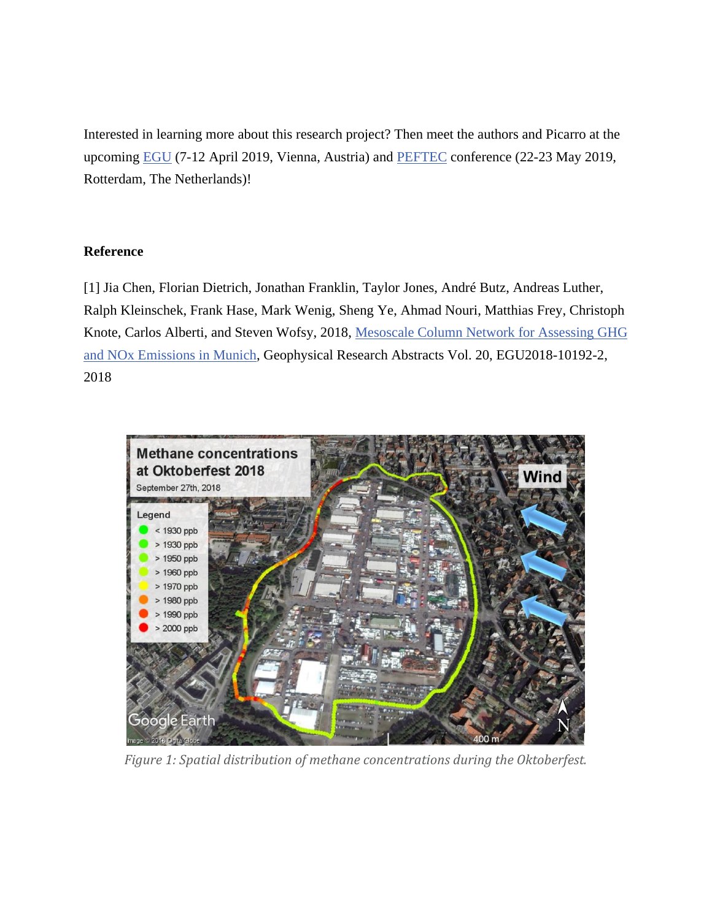Interested in learning more about this research project? Then meet the authors and Picarro at the upcoming [EGU](https://meetingorganizer.copernicus.org/EGU2019/EGU2019-15485-1.pdf) (7-12 April 2019, Vienna, Austria) and [PEFTEC](https://www.ilmexhibitions.com/peftec/) conference (22-23 May 2019, Rotterdam, The Netherlands)!

## **Reference**

[1] Jia Chen, Florian Dietrich, Jonathan Franklin, Taylor Jones, André Butz, Andreas Luther, Ralph Kleinschek, Frank Hase, Mark Wenig, Sheng Ye, Ahmad Nouri, Matthias Frey, Christoph Knote, Carlos Alberti, and Steven Wofsy, 2018, [Mesoscale Column Network for Assessing GHG](https://www.esm.ei.tum.de/fileadmin/w00bva/www/Offene_Stellen/Publikationen/EGU2018-1-10192-2-1.pdf)  [and NOx Emissions in Munich,](https://www.esm.ei.tum.de/fileadmin/w00bva/www/Offene_Stellen/Publikationen/EGU2018-1-10192-2-1.pdf) Geophysical Research Abstracts Vol. 20, EGU2018-10192-2, 2018



*Figure 1: Spatial distribution of methane concentrations during the Oktoberfest.*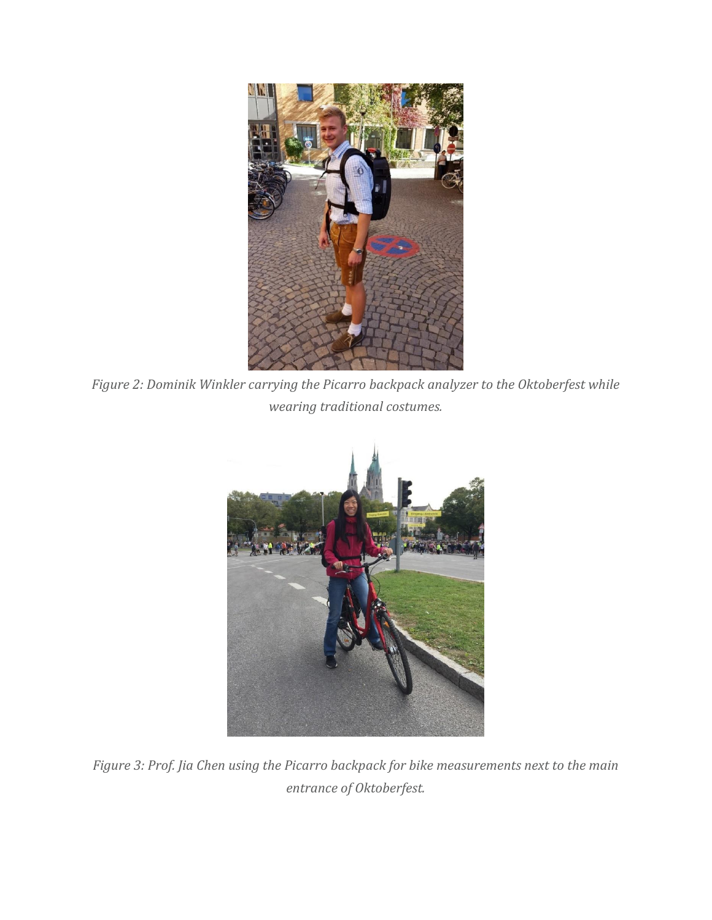

*Figure 2: Dominik Winkler carrying the Picarro backpack analyzer to the Oktoberfest while wearing traditional costumes.*



*Figure 3: Prof. Jia Chen using the Picarro backpack for bike measurements next to the main entrance of Oktoberfest.*